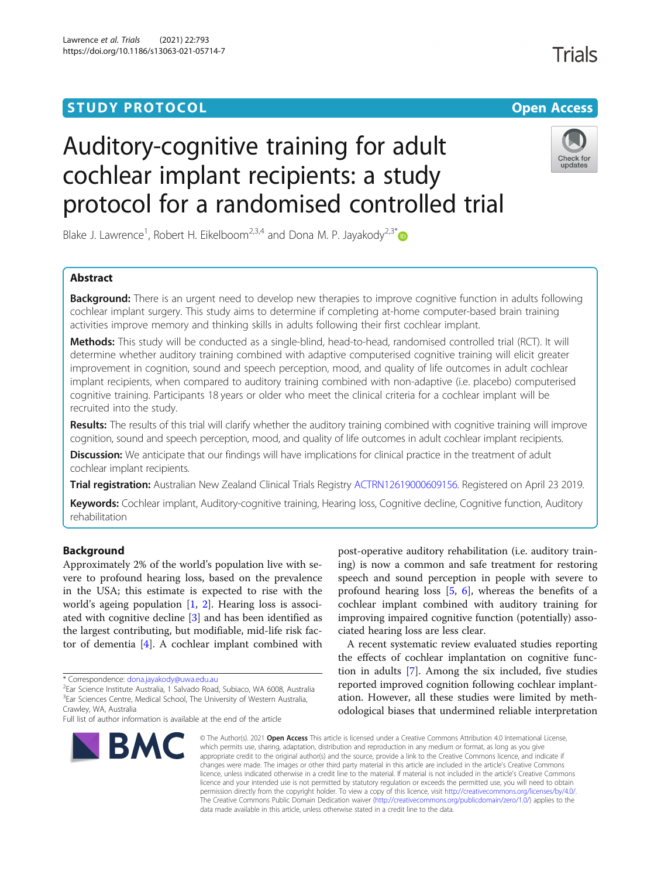## **STUDY PROTOCOL CONSUMING THE RESERVE ACCESS**

# Trials

# Auditory-cognitive training for adult cochlear implant recipients: a study protocol for a randomised controlled trial



Blake J. Lawrence<sup>1</sup>, Robert H. Eikelboom<sup>2,3,4</sup> and Dona M. P. Jayakody<sup>2,3\*</sup>

## Abstract

**Background:** There is an urgent need to develop new therapies to improve cognitive function in adults following cochlear implant surgery. This study aims to determine if completing at-home computer-based brain training activities improve memory and thinking skills in adults following their first cochlear implant.

Methods: This study will be conducted as a single-blind, head-to-head, randomised controlled trial (RCT). It will determine whether auditory training combined with adaptive computerised cognitive training will elicit greater improvement in cognition, sound and speech perception, mood, and quality of life outcomes in adult cochlear implant recipients, when compared to auditory training combined with non-adaptive (i.e. placebo) computerised cognitive training. Participants 18 years or older who meet the clinical criteria for a cochlear implant will be recruited into the study.

Results: The results of this trial will clarify whether the auditory training combined with cognitive training will improve cognition, sound and speech perception, mood, and quality of life outcomes in adult cochlear implant recipients.

**Discussion:** We anticipate that our findings will have implications for clinical practice in the treatment of adult cochlear implant recipients.

Trial registration: Australian New Zealand Clinical Trials Registry [ACTRN12619000609156](https://www.anzctr.org.au/Trial/Registration/TrialReview.aspx?id=376554). Registered on April 23 2019.

Keywords: Cochlear implant, Auditory-cognitive training, Hearing loss, Cognitive decline, Cognitive function, Auditory rehabilitation

## Background

Approximately 2% of the world's population live with severe to profound hearing loss, based on the prevalence in the USA; this estimate is expected to rise with the world's ageing population [\[1](#page-7-0), [2](#page-7-0)]. Hearing loss is associated with cognitive decline [[3\]](#page-7-0) and has been identified as the largest contributing, but modifiable, mid-life risk factor of dementia [\[4](#page-7-0)]. A cochlear implant combined with

Full list of author information is available at the end of the article



post-operative auditory rehabilitation (i.e. auditory training) is now a common and safe treatment for restoring speech and sound perception in people with severe to profound hearing loss [[5,](#page-7-0) [6](#page-7-0)], whereas the benefits of a cochlear implant combined with auditory training for improving impaired cognitive function (potentially) associated hearing loss are less clear.

A recent systematic review evaluated studies reporting the effects of cochlear implantation on cognitive function in adults [\[7](#page-7-0)]. Among the six included, five studies reported improved cognition following cochlear implantation. However, all these studies were limited by methodological biases that undermined reliable interpretation

© The Author(s), 2021 **Open Access** This article is licensed under a Creative Commons Attribution 4.0 International License, which permits use, sharing, adaptation, distribution and reproduction in any medium or format, as long as you give appropriate credit to the original author(s) and the source, provide a link to the Creative Commons licence, and indicate if changes were made. The images or other third party material in this article are included in the article's Creative Commons licence, unless indicated otherwise in a credit line to the material. If material is not included in the article's Creative Commons licence and your intended use is not permitted by statutory regulation or exceeds the permitted use, you will need to obtain permission directly from the copyright holder. To view a copy of this licence, visit [http://creativecommons.org/licenses/by/4.0/.](http://creativecommons.org/licenses/by/4.0/) The Creative Commons Public Domain Dedication waiver [\(http://creativecommons.org/publicdomain/zero/1.0/](http://creativecommons.org/publicdomain/zero/1.0/)) applies to the data made available in this article, unless otherwise stated in a credit line to the data.

<sup>\*</sup> Correspondence: [dona.jayakody@uwa.edu.au](mailto:dona.jayakody@uwa.edu.au) <sup>2</sup>

 $2$ Ear Science Institute Australia, 1 Salvado Road, Subiaco, WA 6008, Australia <sup>3</sup>Ear Sciences Centre, Medical School, The University of Western Australia, Crawley, WA, Australia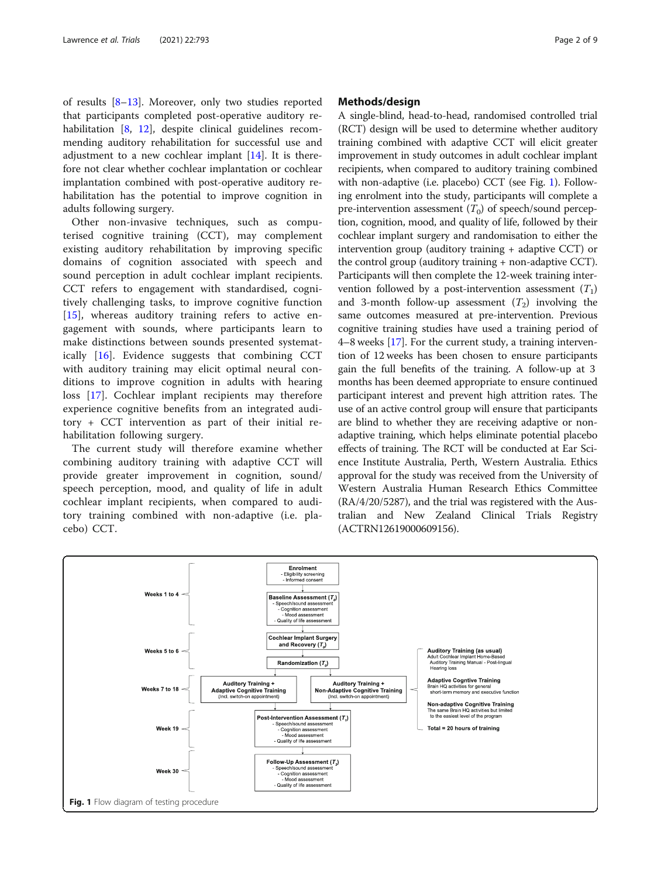of results [[8](#page-7-0)–[13](#page-7-0)]. Moreover, only two studies reported that participants completed post-operative auditory re-habilitation [[8,](#page-7-0) [12\]](#page-7-0), despite clinical guidelines recommending auditory rehabilitation for successful use and adjustment to a new cochlear implant [[14](#page-7-0)]. It is therefore not clear whether cochlear implantation or cochlear implantation combined with post-operative auditory rehabilitation has the potential to improve cognition in adults following surgery.

Other non-invasive techniques, such as computerised cognitive training (CCT), may complement existing auditory rehabilitation by improving specific domains of cognition associated with speech and sound perception in adult cochlear implant recipients. CCT refers to engagement with standardised, cognitively challenging tasks, to improve cognitive function [[15\]](#page-7-0), whereas auditory training refers to active engagement with sounds, where participants learn to make distinctions between sounds presented systematically [\[16](#page-7-0)]. Evidence suggests that combining CCT with auditory training may elicit optimal neural conditions to improve cognition in adults with hearing loss [\[17](#page-7-0)]. Cochlear implant recipients may therefore experience cognitive benefits from an integrated auditory + CCT intervention as part of their initial rehabilitation following surgery.

The current study will therefore examine whether combining auditory training with adaptive CCT will provide greater improvement in cognition, sound/ speech perception, mood, and quality of life in adult cochlear implant recipients, when compared to auditory training combined with non-adaptive (i.e. placebo) CCT.

#### Methods/design

A single-blind, head-to-head, randomised controlled trial (RCT) design will be used to determine whether auditory training combined with adaptive CCT will elicit greater improvement in study outcomes in adult cochlear implant recipients, when compared to auditory training combined with non-adaptive (i.e. placebo) CCT (see Fig. 1). Following enrolment into the study, participants will complete a pre-intervention assessment  $(T_0)$  of speech/sound perception, cognition, mood, and quality of life, followed by their cochlear implant surgery and randomisation to either the intervention group (auditory training + adaptive CCT) or the control group (auditory training + non-adaptive CCT). Participants will then complete the 12-week training intervention followed by a post-intervention assessment  $(T_1)$ and 3-month follow-up assessment  $(T_2)$  involving the same outcomes measured at pre-intervention. Previous cognitive training studies have used a training period of 4–8 weeks [\[17\]](#page-7-0). For the current study, a training intervention of 12 weeks has been chosen to ensure participants gain the full benefits of the training. A follow-up at 3 months has been deemed appropriate to ensure continued participant interest and prevent high attrition rates. The use of an active control group will ensure that participants are blind to whether they are receiving adaptive or nonadaptive training, which helps eliminate potential placebo effects of training. The RCT will be conducted at Ear Science Institute Australia, Perth, Western Australia. Ethics approval for the study was received from the University of Western Australia Human Research Ethics Committee (RA/4/20/5287), and the trial was registered with the Australian and New Zealand Clinical Trials Registry (ACTRN12619000609156).

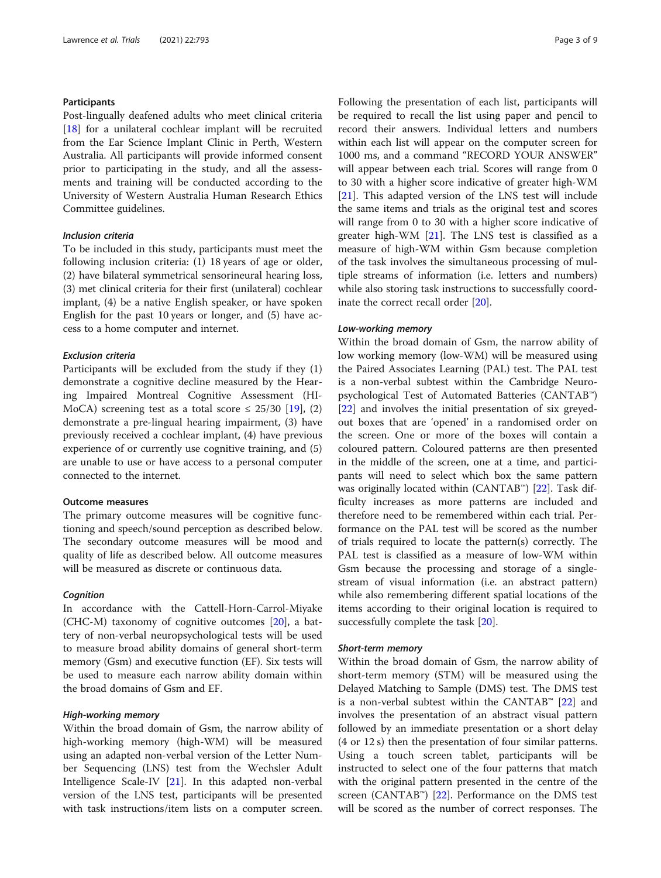## **Participants**

Post-lingually deafened adults who meet clinical criteria [[18\]](#page-7-0) for a unilateral cochlear implant will be recruited from the Ear Science Implant Clinic in Perth, Western Australia. All participants will provide informed consent prior to participating in the study, and all the assessments and training will be conducted according to the University of Western Australia Human Research Ethics Committee guidelines.

## Inclusion criteria

To be included in this study, participants must meet the following inclusion criteria: (1) 18 years of age or older, (2) have bilateral symmetrical sensorineural hearing loss, (3) met clinical criteria for their first (unilateral) cochlear implant, (4) be a native English speaker, or have spoken English for the past 10 years or longer, and (5) have access to a home computer and internet.

#### Exclusion criteria

Participants will be excluded from the study if they (1) demonstrate a cognitive decline measured by the Hearing Impaired Montreal Cognitive Assessment (HI-MoCA) screening test as a total score  $\leq$  25/30 [\[19](#page-7-0)], (2) demonstrate a pre-lingual hearing impairment, (3) have previously received a cochlear implant, (4) have previous experience of or currently use cognitive training, and (5) are unable to use or have access to a personal computer connected to the internet.

## Outcome measures

The primary outcome measures will be cognitive functioning and speech/sound perception as described below. The secondary outcome measures will be mood and quality of life as described below. All outcome measures will be measured as discrete or continuous data.

#### Cognition

In accordance with the Cattell-Horn-Carrol-Miyake (CHC-M) taxonomy of cognitive outcomes [\[20\]](#page-7-0), a battery of non-verbal neuropsychological tests will be used to measure broad ability domains of general short-term memory (Gsm) and executive function (EF). Six tests will be used to measure each narrow ability domain within the broad domains of Gsm and EF.

## High-working memory

Within the broad domain of Gsm, the narrow ability of high-working memory (high-WM) will be measured using an adapted non-verbal version of the Letter Number Sequencing (LNS) test from the Wechsler Adult Intelligence Scale-IV [[21\]](#page-7-0). In this adapted non-verbal version of the LNS test, participants will be presented with task instructions/item lists on a computer screen. Following the presentation of each list, participants will be required to recall the list using paper and pencil to record their answers. Individual letters and numbers within each list will appear on the computer screen for 1000 ms, and a command "RECORD YOUR ANSWER" will appear between each trial. Scores will range from 0 to 30 with a higher score indicative of greater high-WM [[21\]](#page-7-0). This adapted version of the LNS test will include the same items and trials as the original test and scores will range from 0 to 30 with a higher score indicative of greater high-WM  $[21]$  $[21]$ . The LNS test is classified as a measure of high-WM within Gsm because completion of the task involves the simultaneous processing of multiple streams of information (i.e. letters and numbers) while also storing task instructions to successfully coordinate the correct recall order [\[20](#page-7-0)].

#### Low-working memory

Within the broad domain of Gsm, the narrow ability of low working memory (low-WM) will be measured using the Paired Associates Learning (PAL) test. The PAL test is a non-verbal subtest within the Cambridge Neuropsychological Test of Automated Batteries (CANTAB™) [[22\]](#page-7-0) and involves the initial presentation of six greyedout boxes that are 'opened' in a randomised order on the screen. One or more of the boxes will contain a coloured pattern. Coloured patterns are then presented in the middle of the screen, one at a time, and participants will need to select which box the same pattern was originally located within (CANTAB™) [\[22](#page-7-0)]. Task difficulty increases as more patterns are included and therefore need to be remembered within each trial. Performance on the PAL test will be scored as the number of trials required to locate the pattern(s) correctly. The PAL test is classified as a measure of low-WM within Gsm because the processing and storage of a singlestream of visual information (i.e. an abstract pattern) while also remembering different spatial locations of the items according to their original location is required to successfully complete the task [[20\]](#page-7-0).

#### Short-term memory

Within the broad domain of Gsm, the narrow ability of short-term memory (STM) will be measured using the Delayed Matching to Sample (DMS) test. The DMS test is a non-verbal subtest within the CANTAB<sup>™</sup> [\[22\]](#page-7-0) and involves the presentation of an abstract visual pattern followed by an immediate presentation or a short delay (4 or 12 s) then the presentation of four similar patterns. Using a touch screen tablet, participants will be instructed to select one of the four patterns that match with the original pattern presented in the centre of the screen (CANTAB<sup>™</sup>) [[22\]](#page-7-0). Performance on the DMS test will be scored as the number of correct responses. The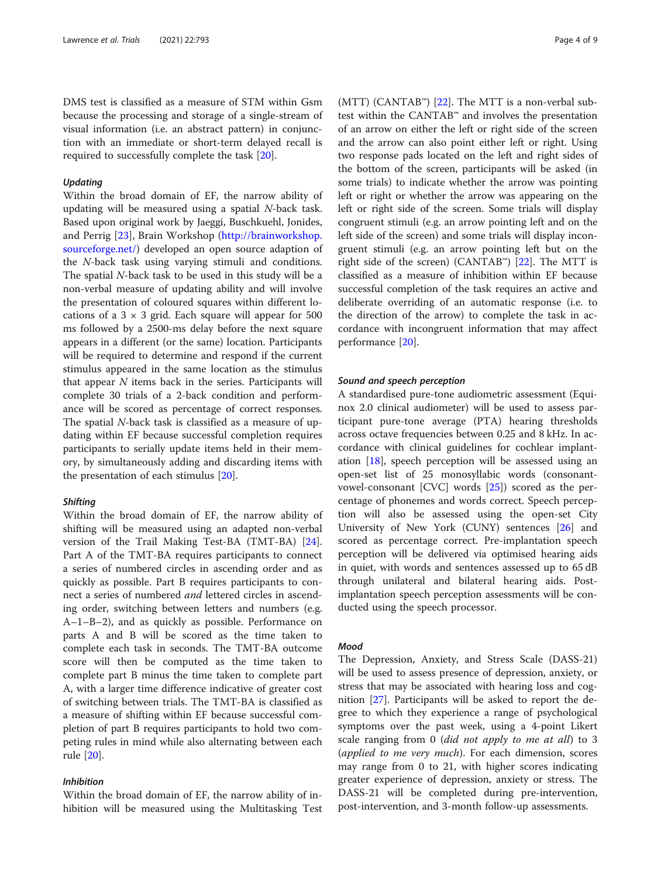DMS test is classified as a measure of STM within Gsm because the processing and storage of a single-stream of visual information (i.e. an abstract pattern) in conjunction with an immediate or short-term delayed recall is required to successfully complete the task [\[20](#page-7-0)].

#### Updating

Within the broad domain of EF, the narrow ability of updating will be measured using a spatial  $N$ -back task. Based upon original work by Jaeggi, Buschkuehl, Jonides, and Perrig [\[23](#page-7-0)], Brain Workshop ([http://brainworkshop.](http://brainworkshop.sourceforge.net/) [sourceforge.net/\)](http://brainworkshop.sourceforge.net/) developed an open source adaption of the N-back task using varying stimuli and conditions. The spatial N-back task to be used in this study will be a non-verbal measure of updating ability and will involve the presentation of coloured squares within different locations of a  $3 \times 3$  grid. Each square will appear for 500 ms followed by a 2500-ms delay before the next square appears in a different (or the same) location. Participants will be required to determine and respond if the current stimulus appeared in the same location as the stimulus that appear  $N$  items back in the series. Participants will complete 30 trials of a 2-back condition and performance will be scored as percentage of correct responses. The spatial N-back task is classified as a measure of updating within EF because successful completion requires participants to serially update items held in their memory, by simultaneously adding and discarding items with the presentation of each stimulus [\[20](#page-7-0)].

#### **Shifting**

Within the broad domain of EF, the narrow ability of shifting will be measured using an adapted non-verbal version of the Trail Making Test-BA (TMT-BA) [\[24](#page-7-0)]. Part A of the TMT-BA requires participants to connect a series of numbered circles in ascending order and as quickly as possible. Part B requires participants to connect a series of numbered and lettered circles in ascending order, switching between letters and numbers (e.g. A–1–B–2), and as quickly as possible. Performance on parts A and B will be scored as the time taken to complete each task in seconds. The TMT-BA outcome score will then be computed as the time taken to complete part B minus the time taken to complete part A, with a larger time difference indicative of greater cost of switching between trials. The TMT-BA is classified as a measure of shifting within EF because successful completion of part B requires participants to hold two competing rules in mind while also alternating between each rule [[20\]](#page-7-0).

## Inhibition

Within the broad domain of EF, the narrow ability of inhibition will be measured using the Multitasking Test

(MTT) (CANTAB™) [[22\]](#page-7-0). The MTT is a non-verbal subtest within the CANTAB™ and involves the presentation of an arrow on either the left or right side of the screen and the arrow can also point either left or right. Using two response pads located on the left and right sides of the bottom of the screen, participants will be asked (in some trials) to indicate whether the arrow was pointing left or right or whether the arrow was appearing on the left or right side of the screen. Some trials will display congruent stimuli (e.g. an arrow pointing left and on the left side of the screen) and some trials will display incongruent stimuli (e.g. an arrow pointing left but on the right side of the screen) (CANTAB<sup>™</sup>) [\[22](#page-7-0)]. The MTT is classified as a measure of inhibition within EF because successful completion of the task requires an active and deliberate overriding of an automatic response (i.e. to the direction of the arrow) to complete the task in accordance with incongruent information that may affect performance [[20](#page-7-0)].

#### Sound and speech perception

A standardised pure-tone audiometric assessment (Equinox 2.0 clinical audiometer) will be used to assess participant pure-tone average (PTA) hearing thresholds across octave frequencies between 0.25 and 8 kHz. In accordance with clinical guidelines for cochlear implantation [[18\]](#page-7-0), speech perception will be assessed using an open-set list of 25 monosyllabic words (consonantvowel-consonant [CVC] words [[25\]](#page-7-0)) scored as the percentage of phonemes and words correct. Speech perception will also be assessed using the open-set City University of New York (CUNY) sentences [[26](#page-7-0)] and scored as percentage correct. Pre-implantation speech perception will be delivered via optimised hearing aids in quiet, with words and sentences assessed up to 65 dB through unilateral and bilateral hearing aids. Postimplantation speech perception assessments will be conducted using the speech processor.

## Mood

The Depression, Anxiety, and Stress Scale (DASS-21) will be used to assess presence of depression, anxiety, or stress that may be associated with hearing loss and cognition [\[27\]](#page-7-0). Participants will be asked to report the degree to which they experience a range of psychological symptoms over the past week, using a 4-point Likert scale ranging from 0 (did not apply to me at all) to 3 (applied to me very much). For each dimension, scores may range from 0 to 21, with higher scores indicating greater experience of depression, anxiety or stress. The DASS-21 will be completed during pre-intervention, post-intervention, and 3-month follow-up assessments.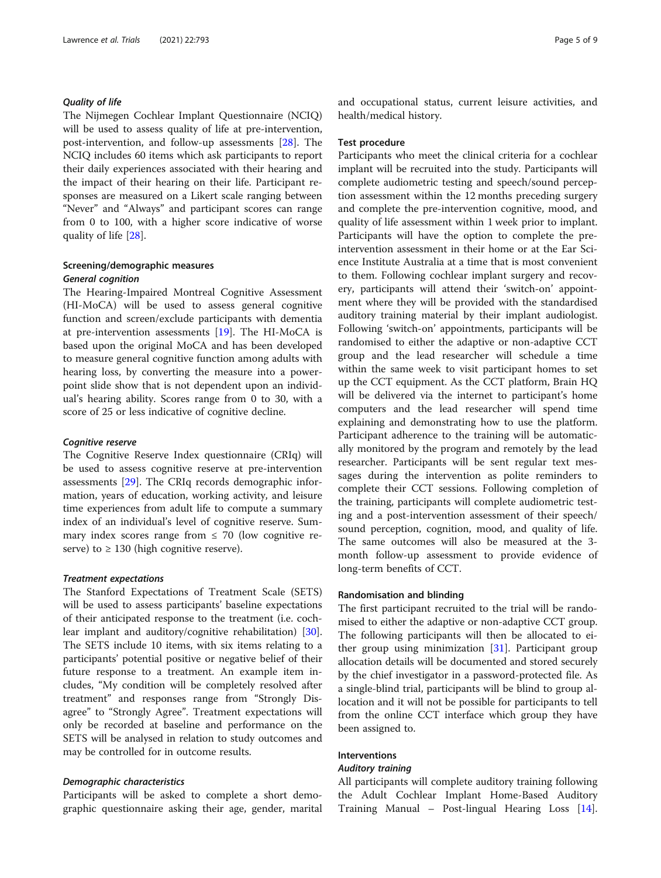### Quality of life

The Nijmegen Cochlear Implant Questionnaire (NCIQ) will be used to assess quality of life at pre-intervention, post-intervention, and follow-up assessments [\[28](#page-7-0)]. The NCIQ includes 60 items which ask participants to report their daily experiences associated with their hearing and the impact of their hearing on their life. Participant responses are measured on a Likert scale ranging between "Never" and "Always" and participant scores can range from 0 to 100, with a higher score indicative of worse quality of life [[28](#page-7-0)].

## Screening/demographic measures General cognition

The Hearing-Impaired Montreal Cognitive Assessment (HI-MoCA) will be used to assess general cognitive function and screen/exclude participants with dementia at pre-intervention assessments [[19\]](#page-7-0). The HI-MoCA is based upon the original MoCA and has been developed to measure general cognitive function among adults with hearing loss, by converting the measure into a powerpoint slide show that is not dependent upon an individual's hearing ability. Scores range from 0 to 30, with a score of 25 or less indicative of cognitive decline.

#### Cognitive reserve

The Cognitive Reserve Index questionnaire (CRIq) will be used to assess cognitive reserve at pre-intervention assessments [\[29](#page-7-0)]. The CRIq records demographic information, years of education, working activity, and leisure time experiences from adult life to compute a summary index of an individual's level of cognitive reserve. Summary index scores range from  $\leq$  70 (low cognitive reserve) to  $\geq$  130 (high cognitive reserve).

#### Treatment expectations

The Stanford Expectations of Treatment Scale (SETS) will be used to assess participants' baseline expectations of their anticipated response to the treatment (i.e. cochlear implant and auditory/cognitive rehabilitation) [\[30](#page-7-0)]. The SETS include 10 items, with six items relating to a participants' potential positive or negative belief of their future response to a treatment. An example item includes, "My condition will be completely resolved after treatment" and responses range from "Strongly Disagree" to "Strongly Agree". Treatment expectations will only be recorded at baseline and performance on the SETS will be analysed in relation to study outcomes and may be controlled for in outcome results.

#### Demographic characteristics

Participants will be asked to complete a short demographic questionnaire asking their age, gender, marital and occupational status, current leisure activities, and health/medical history.

#### Test procedure

Participants who meet the clinical criteria for a cochlear implant will be recruited into the study. Participants will complete audiometric testing and speech/sound perception assessment within the 12 months preceding surgery and complete the pre-intervention cognitive, mood, and quality of life assessment within 1 week prior to implant. Participants will have the option to complete the preintervention assessment in their home or at the Ear Science Institute Australia at a time that is most convenient to them. Following cochlear implant surgery and recovery, participants will attend their 'switch-on' appointment where they will be provided with the standardised auditory training material by their implant audiologist. Following 'switch-on' appointments, participants will be randomised to either the adaptive or non-adaptive CCT group and the lead researcher will schedule a time within the same week to visit participant homes to set up the CCT equipment. As the CCT platform, Brain HQ will be delivered via the internet to participant's home computers and the lead researcher will spend time explaining and demonstrating how to use the platform. Participant adherence to the training will be automatically monitored by the program and remotely by the lead researcher. Participants will be sent regular text messages during the intervention as polite reminders to complete their CCT sessions. Following completion of the training, participants will complete audiometric testing and a post-intervention assessment of their speech/ sound perception, cognition, mood, and quality of life. The same outcomes will also be measured at the 3 month follow-up assessment to provide evidence of long-term benefits of CCT.

## Randomisation and blinding

The first participant recruited to the trial will be randomised to either the adaptive or non-adaptive CCT group. The following participants will then be allocated to either group using minimization [[31\]](#page-7-0). Participant group allocation details will be documented and stored securely by the chief investigator in a password-protected file. As a single-blind trial, participants will be blind to group allocation and it will not be possible for participants to tell from the online CCT interface which group they have been assigned to.

## Interventions

#### Auditory training

All participants will complete auditory training following the Adult Cochlear Implant Home-Based Auditory Training Manual – Post-lingual Hearing Loss [\[14](#page-7-0)].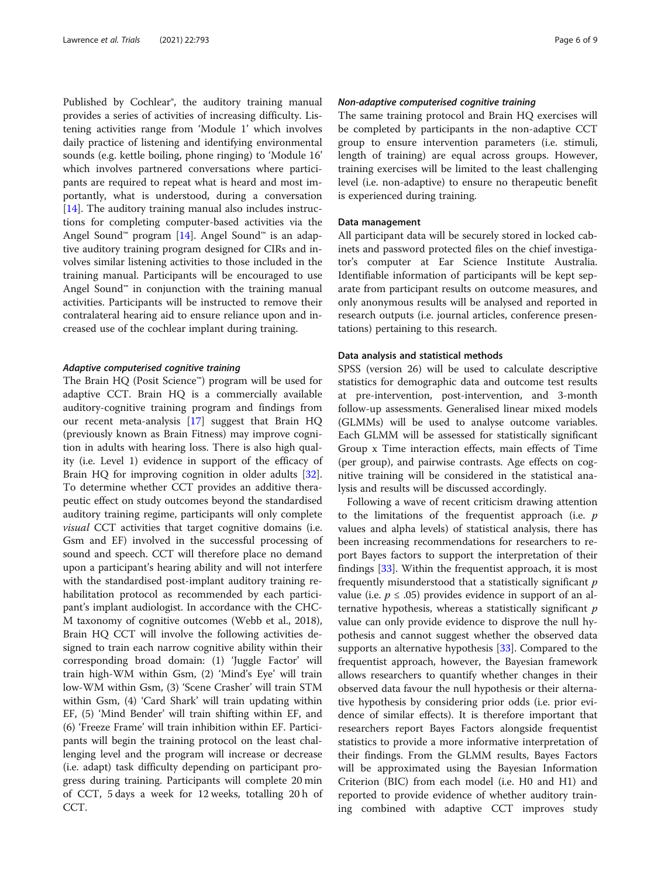Published by Cochlear®, the auditory training manual provides a series of activities of increasing difficulty. Listening activities range from 'Module 1' which involves daily practice of listening and identifying environmental sounds (e.g. kettle boiling, phone ringing) to 'Module 16' which involves partnered conversations where participants are required to repeat what is heard and most importantly, what is understood, during a conversation [[14\]](#page-7-0). The auditory training manual also includes instructions for completing computer-based activities via the Angel Sound™ program [[14](#page-7-0)]. Angel Sound™ is an adaptive auditory training program designed for CIRs and involves similar listening activities to those included in the training manual. Participants will be encouraged to use Angel Sound™ in conjunction with the training manual activities. Participants will be instructed to remove their contralateral hearing aid to ensure reliance upon and increased use of the cochlear implant during training.

#### Adaptive computerised cognitive training

The Brain HQ (Posit Science™) program will be used for adaptive CCT. Brain HQ is a commercially available auditory-cognitive training program and findings from our recent meta-analysis [[17](#page-7-0)] suggest that Brain HQ (previously known as Brain Fitness) may improve cognition in adults with hearing loss. There is also high quality (i.e. Level 1) evidence in support of the efficacy of Brain HQ for improving cognition in older adults [\[32](#page-7-0)]. To determine whether CCT provides an additive therapeutic effect on study outcomes beyond the standardised auditory training regime, participants will only complete visual CCT activities that target cognitive domains (i.e. Gsm and EF) involved in the successful processing of sound and speech. CCT will therefore place no demand upon a participant's hearing ability and will not interfere with the standardised post-implant auditory training rehabilitation protocol as recommended by each participant's implant audiologist. In accordance with the CHC-M taxonomy of cognitive outcomes (Webb et al., 2018), Brain HQ CCT will involve the following activities designed to train each narrow cognitive ability within their corresponding broad domain: (1) 'Juggle Factor' will train high-WM within Gsm, (2) 'Mind's Eye' will train low-WM within Gsm, (3) 'Scene Crasher' will train STM within Gsm, (4) 'Card Shark' will train updating within EF, (5) 'Mind Bender' will train shifting within EF, and (6) 'Freeze Frame' will train inhibition within EF. Participants will begin the training protocol on the least challenging level and the program will increase or decrease (i.e. adapt) task difficulty depending on participant progress during training. Participants will complete 20 min of CCT, 5 days a week for 12 weeks, totalling 20 h of CCT.

#### Non-adaptive computerised cognitive training

The same training protocol and Brain HQ exercises will be completed by participants in the non-adaptive CCT group to ensure intervention parameters (i.e. stimuli, length of training) are equal across groups. However, training exercises will be limited to the least challenging level (i.e. non-adaptive) to ensure no therapeutic benefit is experienced during training.

## Data management

All participant data will be securely stored in locked cabinets and password protected files on the chief investigator's computer at Ear Science Institute Australia. Identifiable information of participants will be kept separate from participant results on outcome measures, and only anonymous results will be analysed and reported in research outputs (i.e. journal articles, conference presentations) pertaining to this research.

#### Data analysis and statistical methods

SPSS (version 26) will be used to calculate descriptive statistics for demographic data and outcome test results at pre-intervention, post-intervention, and 3-month follow-up assessments. Generalised linear mixed models (GLMMs) will be used to analyse outcome variables. Each GLMM will be assessed for statistically significant Group x Time interaction effects, main effects of Time (per group), and pairwise contrasts. Age effects on cognitive training will be considered in the statistical analysis and results will be discussed accordingly.

Following a wave of recent criticism drawing attention to the limitations of the frequentist approach (i.e.  $p$ values and alpha levels) of statistical analysis, there has been increasing recommendations for researchers to report Bayes factors to support the interpretation of their findings [[33](#page-7-0)]. Within the frequentist approach, it is most frequently misunderstood that a statistically significant  $p$ value (i.e.  $p \leq .05$ ) provides evidence in support of an alternative hypothesis, whereas a statistically significant  $p$ value can only provide evidence to disprove the null hypothesis and cannot suggest whether the observed data supports an alternative hypothesis [[33](#page-7-0)]. Compared to the frequentist approach, however, the Bayesian framework allows researchers to quantify whether changes in their observed data favour the null hypothesis or their alternative hypothesis by considering prior odds (i.e. prior evidence of similar effects). It is therefore important that researchers report Bayes Factors alongside frequentist statistics to provide a more informative interpretation of their findings. From the GLMM results, Bayes Factors will be approximated using the Bayesian Information Criterion (BIC) from each model (i.e. H0 and H1) and reported to provide evidence of whether auditory training combined with adaptive CCT improves study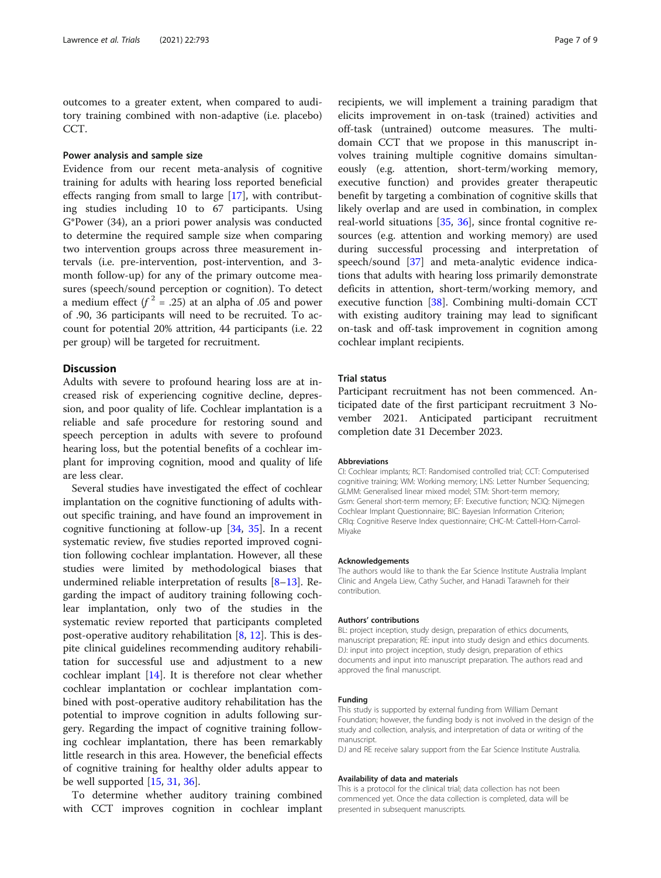outcomes to a greater extent, when compared to auditory training combined with non-adaptive (i.e. placebo) CCT.

## Power analysis and sample size

Evidence from our recent meta-analysis of cognitive training for adults with hearing loss reported beneficial effects ranging from small to large [\[17](#page-7-0)], with contributing studies including 10 to 67 participants. Using G\*Power (34), an a priori power analysis was conducted to determine the required sample size when comparing two intervention groups across three measurement intervals (i.e. pre-intervention, post-intervention, and 3 month follow-up) for any of the primary outcome measures (speech/sound perception or cognition). To detect a medium effect  $(f^2 = .25)$  at an alpha of .05 and power of .90, 36 participants will need to be recruited. To account for potential 20% attrition, 44 participants (i.e. 22 per group) will be targeted for recruitment.

## **Discussion**

Adults with severe to profound hearing loss are at increased risk of experiencing cognitive decline, depression, and poor quality of life. Cochlear implantation is a reliable and safe procedure for restoring sound and speech perception in adults with severe to profound hearing loss, but the potential benefits of a cochlear implant for improving cognition, mood and quality of life are less clear.

Several studies have investigated the effect of cochlear implantation on the cognitive functioning of adults without specific training, and have found an improvement in cognitive functioning at follow-up [[34](#page-8-0), [35\]](#page-8-0). In a recent systematic review, five studies reported improved cognition following cochlear implantation. However, all these studies were limited by methodological biases that undermined reliable interpretation of results [\[8](#page-7-0)–[13\]](#page-7-0). Regarding the impact of auditory training following cochlear implantation, only two of the studies in the systematic review reported that participants completed post-operative auditory rehabilitation [\[8](#page-7-0), [12\]](#page-7-0). This is despite clinical guidelines recommending auditory rehabilitation for successful use and adjustment to a new cochlear implant [\[14\]](#page-7-0). It is therefore not clear whether cochlear implantation or cochlear implantation combined with post-operative auditory rehabilitation has the potential to improve cognition in adults following surgery. Regarding the impact of cognitive training following cochlear implantation, there has been remarkably little research in this area. However, the beneficial effects of cognitive training for healthy older adults appear to be well supported [[15](#page-7-0), [31](#page-7-0), [36](#page-8-0)].

To determine whether auditory training combined with CCT improves cognition in cochlear implant

recipients, we will implement a training paradigm that elicits improvement in on-task (trained) activities and off-task (untrained) outcome measures. The multidomain CCT that we propose in this manuscript involves training multiple cognitive domains simultaneously (e.g. attention, short-term/working memory, executive function) and provides greater therapeutic benefit by targeting a combination of cognitive skills that likely overlap and are used in combination, in complex real-world situations [[35](#page-8-0), [36](#page-8-0)], since frontal cognitive resources (e.g. attention and working memory) are used during successful processing and interpretation of speech/sound [\[37](#page-8-0)] and meta-analytic evidence indications that adults with hearing loss primarily demonstrate deficits in attention, short-term/working memory, and executive function [[38\]](#page-8-0). Combining multi-domain CCT with existing auditory training may lead to significant on-task and off-task improvement in cognition among cochlear implant recipients.

#### Trial status

Participant recruitment has not been commenced. Anticipated date of the first participant recruitment 3 November 2021. Anticipated participant recruitment completion date 31 December 2023.

#### Abbreviations

CI: Cochlear implants; RCT: Randomised controlled trial; CCT: Computerised cognitive training; WM: Working memory; LNS: Letter Number Sequencing; GLMM: Generalised linear mixed model; STM: Short-term memory; Gsm: General short-term memory; EF: Executive function; NCIQ: Nijmegen Cochlear Implant Questionnaire; BIC: Bayesian Information Criterion; CRIq: Cognitive Reserve Index questionnaire; CHC-M: Cattell-Horn-Carrol-Miyake

#### Acknowledgements

The authors would like to thank the Ear Science Institute Australia Implant Clinic and Angela Liew, Cathy Sucher, and Hanadi Tarawneh for their contribution.

#### Authors' contributions

BL: project inception, study design, preparation of ethics documents, manuscript preparation; RE: input into study design and ethics documents. DJ: input into project inception, study design, preparation of ethics documents and input into manuscript preparation. The authors read and approved the final manuscript.

#### Funding

This study is supported by external funding from William Demant Foundation; however, the funding body is not involved in the design of the study and collection, analysis, and interpretation of data or writing of the manuscript.

DJ and RE receive salary support from the Ear Science Institute Australia.

#### Availability of data and materials

This is a protocol for the clinical trial; data collection has not been commenced yet. Once the data collection is completed, data will be presented in subsequent manuscripts.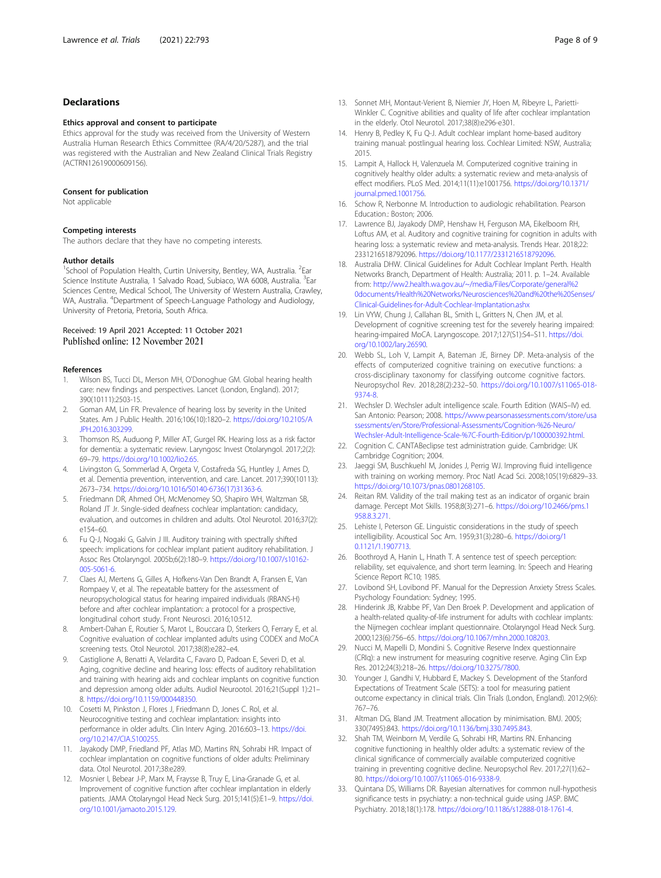### <span id="page-7-0"></span>Declarations

#### Ethics approval and consent to participate

Ethics approval for the study was received from the University of Western Australia Human Research Ethics Committee (RA/4/20/5287), and the trial was registered with the Australian and New Zealand Clinical Trials Registry (ACTRN12619000609156).

#### Consent for publication

Not applicable

#### Competing interests

The authors declare that they have no competing interests.

#### Author details

<sup>1</sup>School of Population Health, Curtin University, Bentley, WA, Australia. <sup>2</sup>Ear Science Institute Australia, 1 Salvado Road, Subiaco, WA 6008, Australia. <sup>3</sup>Ear Sciences Centre, Medical School, The University of Western Australia, Crawley, WA, Australia. <sup>4</sup>Department of Speech-Language Pathology and Audiology, University of Pretoria, Pretoria, South Africa.

# Received: 19 April 2021 Accepted: 11 October 2021<br>Published online: 12 November 2021

#### References

- 1. Wilson BS, Tucci DL, Merson MH, O'Donoghue GM. Global hearing health care: new findings and perspectives. Lancet (London, England). 2017; 390(10111):2503-15.
- 2. Goman AM, Lin FR. Prevalence of hearing loss by severity in the United States. Am J Public Health. 2016;106(10):1820–2. [https://doi.org/10.2105/A](https://doi.org/10.2105/AJPH.2016.303299) [JPH.2016.303299.](https://doi.org/10.2105/AJPH.2016.303299)
- 3. Thomson RS, Auduong P, Miller AT, Gurgel RK. Hearing loss as a risk factor for dementia: a systematic review. Laryngosc Invest Otolaryngol. 2017;2(2): 69–79. [https://doi.org/10.1002/lio2.65.](https://doi.org/10.1002/lio2.65)
- 4. Livingston G, Sommerlad A, Orgeta V, Costafreda SG, Huntley J, Ames D, et al. Dementia prevention, intervention, and care. Lancet. 2017;390(10113): 2673–734. [https://doi.org/10.1016/S0140-6736\(17\)31363-6](https://doi.org/10.1016/S0140-6736(17)31363-6).
- 5. Friedmann DR, Ahmed OH, McMenomey SO, Shapiro WH, Waltzman SB, Roland JT Jr. Single-sided deafness cochlear implantation: candidacy, evaluation, and outcomes in children and adults. Otol Neurotol. 2016;37(2): e154–60.
- 6. Fu Q-J, Nogaki G, Galvin J III. Auditory training with spectrally shifted speech: implications for cochlear implant patient auditory rehabilitation. J Assoc Res Otolaryngol. 2005b;6(2):180–9. [https://doi.org/10.1007/s10162-](https://doi.org/10.1007/s10162-005-5061-6) [005-5061-6](https://doi.org/10.1007/s10162-005-5061-6).
- 7. Claes AJ, Mertens G, Gilles A, Hofkens-Van Den Brandt A, Fransen E, Van Rompaey V, et al. The repeatable battery for the assessment of neuropsychological status for hearing impaired individuals (RBANS-H) before and after cochlear implantation: a protocol for a prospective, longitudinal cohort study. Front Neurosci. 2016;10:512.
- Ambert-Dahan E, Routier S, Marot L, Bouccara D, Sterkers O, Ferrary E, et al. Cognitive evaluation of cochlear implanted adults using CODEX and MoCA screening tests. Otol Neurotol. 2017;38(8):e282–e4.
- Castiglione A, Benatti A, Velardita C, Favaro D, Padoan E, Severi D, et al. Aging, cognitive decline and hearing loss: effects of auditory rehabilitation and training with hearing aids and cochlear implants on cognitive function and depression among older adults. Audiol Neurootol. 2016;21(Suppl 1):21– 8. <https://doi.org/10.1159/000448350>.
- 10. Cosetti M, Pinkston J, Flores J, Friedmann D, Jones C. Rol, et al. Neurocognitive testing and cochlear implantation: insights into performance in older adults. Clin Interv Aging. 2016:603–13. [https://doi.](https://doi.org/10.2147/CIA.S100255) [org/10.2147/CIA.S100255.](https://doi.org/10.2147/CIA.S100255)
- 11. Jayakody DMP, Friedland PF, Atlas MD, Martins RN, Sohrabi HR. Impact of cochlear implantation on cognitive functions of older adults: Preliminary data. Otol Neurotol. 2017;38:e289.
- 12. Mosnier I, Bebear J-P, Marx M, Fraysse B, Truy E, Lina-Granade G, et al. Improvement of cognitive function after cochlear implantation in elderly patients. JAMA Otolaryngol Head Neck Surg. 2015;141(5):E1–9. [https://doi.](https://doi.org/10.1001/jamaoto.2015.129) [org/10.1001/jamaoto.2015.129.](https://doi.org/10.1001/jamaoto.2015.129)
- 13. Sonnet MH, Montaut-Verient B, Niemier JY, Hoen M, Ribeyre L, Parietti-Winkler C. Cognitive abilities and quality of life after cochlear implantation in the elderly. Otol Neurotol. 2017;38(8):e296-e301.
- 14. Henry B, Pedley K, Fu Q-J. Adult cochlear implant home-based auditory training manual: postlingual hearing loss. Cochlear Limited: NSW, Australia; 2015.
- 15. Lampit A, Hallock H, Valenzuela M. Computerized cognitive training in cognitively healthy older adults: a systematic review and meta-analysis of effect modifiers. PLoS Med. 2014;11(11):e1001756. [https://doi.org/10.1371/](https://doi.org/10.1371/journal.pmed.1001756) [journal.pmed.1001756](https://doi.org/10.1371/journal.pmed.1001756).
- 16. Schow R, Nerbonne M. Introduction to audiologic rehabilitation. Pearson Education.: Boston; 2006.
- 17. Lawrence BJ, Jayakody DMP, Henshaw H, Ferguson MA, Eikelboom RH, Loftus AM, et al. Auditory and cognitive training for cognition in adults with hearing loss: a systematic review and meta-analysis. Trends Hear. 2018;22: 2331216518792096. <https://doi.org/10.1177/2331216518792096>.
- 18. Australia DHW. Clinical Guidelines for Adult Cochlear Implant Perth. Health Networks Branch, Department of Health: Australia; 2011. p. 1–24. Available from: [http://ww2.health.wa.gov.au/~/media/Files/Corporate/general%2](http://ww2.health.wa.gov.au/~/media/Files/Corporate/general%20documents/Health%20Networks/Neurosciences%20and%20the%20Senses/Clinical-Guidelines-for-Adult-Cochlear-Implantation.ashx) [0documents/Health%20Networks/Neurosciences%20and%20the%20Senses/](http://ww2.health.wa.gov.au/~/media/Files/Corporate/general%20documents/Health%20Networks/Neurosciences%20and%20the%20Senses/Clinical-Guidelines-for-Adult-Cochlear-Implantation.ashx) [Clinical-Guidelines-for-Adult-Cochlear-Implantation.ashx](http://ww2.health.wa.gov.au/~/media/Files/Corporate/general%20documents/Health%20Networks/Neurosciences%20and%20the%20Senses/Clinical-Guidelines-for-Adult-Cochlear-Implantation.ashx)
- 19. Lin VYW, Chung J, Callahan BL, Smith L, Gritters N, Chen JM, et al. Development of cognitive screening test for the severely hearing impaired: hearing-impaired MoCA. Laryngoscope. 2017;127(S1):S4–S11. [https://doi.](https://doi.org/10.1002/lary.26590) [org/10.1002/lary.26590](https://doi.org/10.1002/lary.26590).
- 20. Webb SL, Loh V, Lampit A, Bateman JE, Birney DP. Meta-analysis of the effects of computerized cognitive training on executive functions: a cross-disciplinary taxonomy for classifying outcome cognitive factors. Neuropsychol Rev. 2018;28(2):232–50. [https://doi.org/10.1007/s11065-018-](https://doi.org/10.1007/s11065-018-9374-8) [9374-8](https://doi.org/10.1007/s11065-018-9374-8).
- 21. Wechsler D. Wechsler adult intelligence scale. Fourth Edition (WAIS–IV) ed. San Antonio: Pearson; 2008. [https://www.pearsonassessments.com/store/usa](https://www.pearsonassessments.com/store/usassessments/en/Store/Professional-Assessments/Cognition-%26-Neuro/Wechsler-Adult-Intelligence-Scale-%7C-Fourth-Edition/p/100000392.html) [ssessments/en/Store/Professional-Assessments/Cognition-%26-Neuro/](https://www.pearsonassessments.com/store/usassessments/en/Store/Professional-Assessments/Cognition-%26-Neuro/Wechsler-Adult-Intelligence-Scale-%7C-Fourth-Edition/p/100000392.html) [Wechsler-Adult-Intelligence-Scale-%7C-Fourth-Edition/p/100000392.html.](https://www.pearsonassessments.com/store/usassessments/en/Store/Professional-Assessments/Cognition-%26-Neuro/Wechsler-Adult-Intelligence-Scale-%7C-Fourth-Edition/p/100000392.html)
- 22. Cognition C. CANTABeclipse test administration guide. Cambridge: UK Cambridge Cognition; 2004.
- 23. Jaeggi SM, Buschkuehl M, Jonides J, Perrig WJ. Improving fluid intelligence with training on working memory. Proc Natl Acad Sci. 2008;105(19):6829–33. [https://doi.org/10.1073/pnas.0801268105.](https://doi.org/10.1073/pnas.0801268105)
- 24. Reitan RM. Validity of the trail making test as an indicator of organic brain damage. Percept Mot Skills. 1958;8(3):271–6. [https://doi.org/10.2466/pms.1](https://doi.org/10.2466/pms.1958.8.3.271) [958.8.3.271.](https://doi.org/10.2466/pms.1958.8.3.271)
- 25. Lehiste I, Peterson GE. Linguistic considerations in the study of speech intelligibility. Acoustical Soc Am. 1959;31(3):280–6. [https://doi.org/1](https://doi.org/10.1121/1.1907713) [0.1121/1.1907713.](https://doi.org/10.1121/1.1907713)
- 26. Boothroyd A, Hanin L, Hnath T. A sentence test of speech perception: reliability, set equivalence, and short term learning. In: Speech and Hearing Science Report RC10; 1985.
- 27. Lovibond SH, Lovibond PF. Manual for the Depression Anxiety Stress Scales. Psychology Foundation: Sydney; 1995.
- 28. Hinderink JB, Krabbe PF, Van Den Broek P. Development and application of a health-related quality-of-life instrument for adults with cochlear implants: the Nijmegen cochlear implant questionnaire. Otolaryngol Head Neck Surg. 2000;123(6):756–65. <https://doi.org/10.1067/mhn.2000.108203>.
- 29. Nucci M, Mapelli D, Mondini S. Cognitive Reserve Index questionnaire (CRIq): a new instrument for measuring cognitive reserve. Aging Clin Exp Res. 2012;24(3):218–26. <https://doi.org/10.3275/7800>.
- 30. Younger J, Gandhi V, Hubbard E, Mackey S. Development of the Stanford Expectations of Treatment Scale (SETS): a tool for measuring patient outcome expectancy in clinical trials. Clin Trials (London, England). 2012;9(6): 767–76.
- 31. Altman DG, Bland JM. Treatment allocation by minimisation. BMJ. 2005; 330(7495):843. <https://doi.org/10.1136/bmj.330.7495.843>.
- 32. Shah TM, Weinborn M, Verdile G, Sohrabi HR, Martins RN. Enhancing cognitive functioning in healthly older adults: a systematic review of the clinical significance of commercially available computerized cognitive training in preventing cognitive decline. Neuropsychol Rev. 2017;27(1):62– 80. <https://doi.org/10.1007/s11065-016-9338-9>.
- 33. Quintana DS, Williams DR. Bayesian alternatives for common null-hypothesis significance tests in psychiatry: a non-technical guide using JASP. BMC Psychiatry. 2018;18(1):178. <https://doi.org/10.1186/s12888-018-1761-4>.